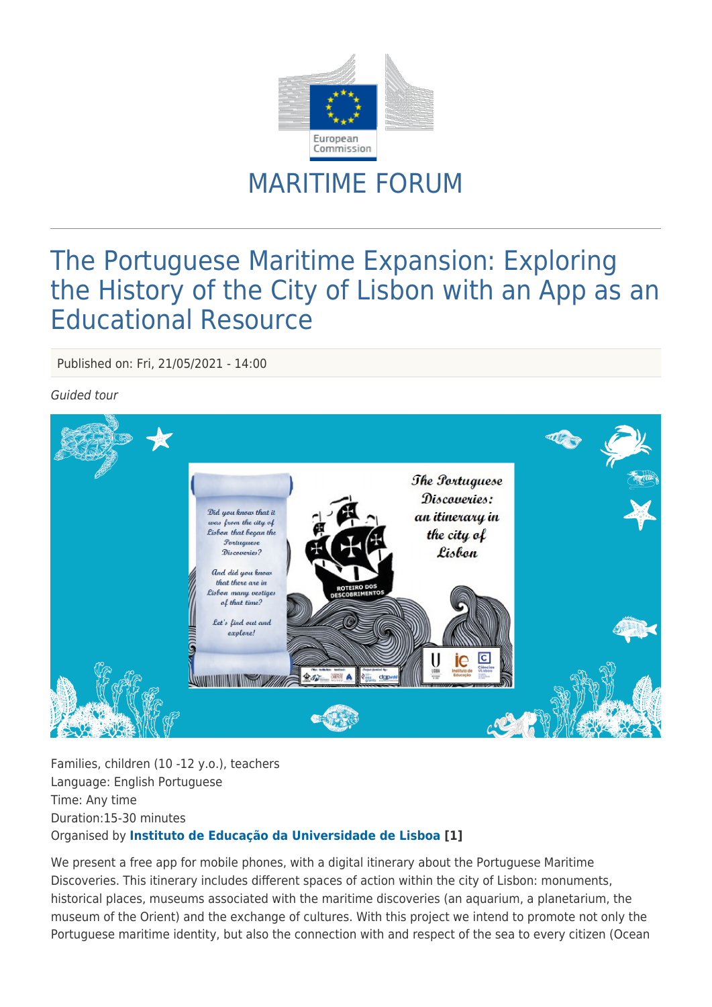

## MARITIME FORUM

## The Portuguese Maritime Expansion: Exploring the History of the City of Lisbon with an App as an Educational Resource

Published on: Fri, 21/05/2021 - 14:00

## Guided tour



Families, children (10 -12 y.o.), teachers Language: English Portuguese Time: Any time Duration:15-30 minutes Organised by **[Instituto de Educação da Universidade de Lisboa \[](http://www.ie.ulisboa.pt/)1]**

We present a free app for mobile phones, with a digital itinerary about the Portuguese Maritime Discoveries. This itinerary includes different spaces of action within the city of Lisbon: monuments, historical places, museums associated with the maritime discoveries (an aquarium, a planetarium, the museum of the Orient) and the exchange of cultures. With this project we intend to promote not only the Portuguese maritime identity, but also the connection with and respect of the sea to every citizen (Ocean